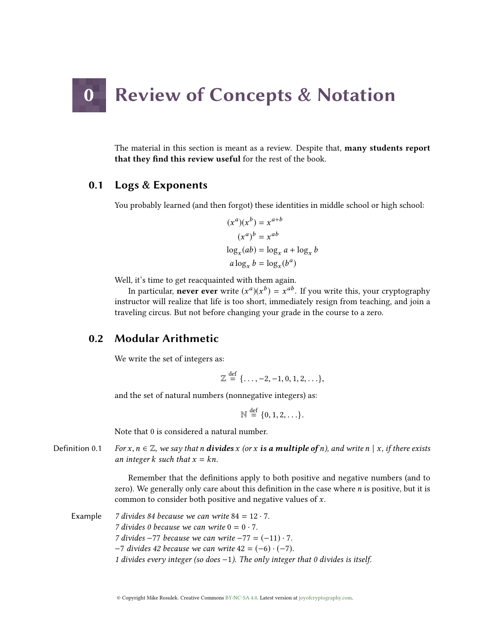# **Review of Concepts & Notation**

The material in this section is meant as a review. Despite that, many students report that they find this review useful for the rest of the book.

# 0.1 Logs & Exponents

You probably learned (and then forgot) these identities in middle school or high school:

$$
(x^{a})(x^{b}) = x^{a+b}
$$
  
\n
$$
(x^{a})^{b} = x^{ab}
$$
  
\n
$$
\log_{x}(ab) = \log_{x} a + \log_{x} b
$$
  
\n
$$
a \log_{x} b = \log_{x}(b^{a})
$$

Well, it's time to get reacquainted with them again.

In particular, **never ever** write  $(x^a)(x^b) = x^{ab}$ . If you write this, your cryptography<br>ructor will realize that life is too short, immediately resign from teaching, and join a instructor will realize that life is too short, immediately resign from teaching, and join a traveling circus. But not before changing your grade in the course to a zero.

# 0.2 Modular Arithmetic

We write the set of integers as:

$$
\mathbb{Z} \stackrel{\text{def}}{=} \{\ldots, -2, -1, 0, 1, 2, \ldots\},\
$$

and the set of natural numbers (nonnegative integers) as:

$$
\mathbb{N} \stackrel{\text{def}}{=} \{0, 1, 2, \ldots\}.
$$

Note that 0 is considered a natural number.

Definition 0.1 For  $x, n \in \mathbb{Z}$ , we say that n **divides** x (or x **is a multiple of** n), and write n | x, if there exists an integer k such that  $x = kn$ .

> Remember that the definitions apply to both positive and negative numbers (and to zero). We generally only care about this definition in the case where  $n$  is positive, but it is common to consider both positive and negative values of x.

Example 7 divides 84 because we can write  $84 = 12 \cdot 7$ . 7 divides 0 because we can write  $0 = 0 \cdot 7$ . 7 divides  $-77$  because we can write  $-77 = (-11) \cdot 7$ .  $-7$  divides 42 because we can write 42 =  $(-6) \cdot (-7)$ . 1 divides every integer (so does −1). The only integer that 0 divides is itself.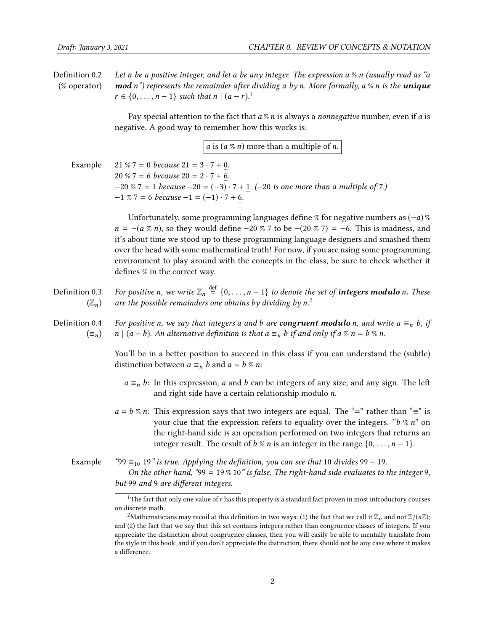Definition 0.2 (% operator) Let n be a positive integer, and let a be any integer. The expression  $a \%$ n (usually read as "amod n") represents the remainder after dividing a by n. More formally, a % n is the unique  $r \in \{0, ..., n-1\}$  $r \in \{0, ..., n-1\}$  $r \in \{0, ..., n-1\}$  such that  $n \mid (a-r)^{1}$ .

> Pay special attention to the fact that  $a \, \%$  n is always a nonnegative number, even if  $a$  is negative. A good way to remember how this works is:

> > *a* is  $(a \mathcal{R} n)$  more than a multiple of *n*.

| Example | $21\%7 = 0$ because $21 = 3 \cdot 7 + 0$ .                                               |
|---------|------------------------------------------------------------------------------------------|
|         | $20\%7 = 6$ because $20 = 2 \cdot 7 + 6$ .                                               |
|         | $-20\%$ 7 = 1 because $-20 = (-3) \cdot 7 + 1$ . (-20 is one more than a multiple of 7.) |
|         | $-1\%$ 7 = 6 because $-1 = (-1) \cdot 7 + 6$ .                                           |

Unfortunately, some programming languages define % for negative numbers as  $(-a)$  %  $n = -(a \%) n$ , so they would define −20 % 7 to be −(20 % 7) = −6. This is madness, and it's about time we stood up to these programming language designers and smashed them over the head with some mathematical truth! For now, if you are using some programming environment to play around with the concepts in the class, be sure to check whether it defines % in the correct way.

- Definition 0.3  $(\mathbb{Z}_n)$ For positive n, we write  $\mathbb{Z}_n \stackrel{\text{def}}{=} \{0,\ldots,n-1\}$  to denote the set of **integers modulo** n. These are the possible remainders one obtains by dividing by  $n^2$  $n^2$
- Definition 0.4  $(\equiv_n)$ For positive n, we say that integers a and b are **congruent modulo** n, and write  $a \equiv_n b$ , if  $n | (a - b)$ . An alternative definition is that  $a \equiv_n b$  if and only if  $a \% n = b \% n$ .

You'll be in a better position to succeed in this class if you can understand the (subtle) distinction between  $a \equiv_n b$  and  $a = b \%$  n:

- $a \equiv_n b$ : In this expression, a and b can be integers of any size, and any sign. The left and right side have a certain relationship modulo n.
- $a = b$  % n: This expression says that two integers are equal. The "=" rather than "=" is your clue that the expression refers to equality over the integers. " $b \% n$ " on the right-hand side is an operation performed on two integers that returns an integer result. The result of b % n is an integer in the range  $\{0, \ldots, n-1\}$ .
- Example "99  $\equiv_{10} 19$ " is true. Applying the definition, you can see that 10 divides 99 19. On the other hand, "99 = 19 % 10" is false. The right-hand side evaluates to the integer 9, but 99 and 9 are different integers.

<span id="page-1-0"></span><sup>&</sup>lt;sup>1</sup>The fact that only one value of  $r$  has this property is a standard fact proven in most introductory courses on discrete math.

<span id="page-1-1"></span><sup>&</sup>lt;sup>2</sup>Mathematicians may recoil at this definition in two ways: (1) the fact that we call it  $\mathbb{Z}_n$  and not  $\mathbb{Z}/(n\mathbb{Z});$ and (2) the fact that we say that this set contains integers rather than congruence classes of integers. If you appreciate the distinction about congruence classes, then you will easily be able to mentally translate from the style in this book; and if you don't appreciate the distinction, there should not be any case where it makes a difference.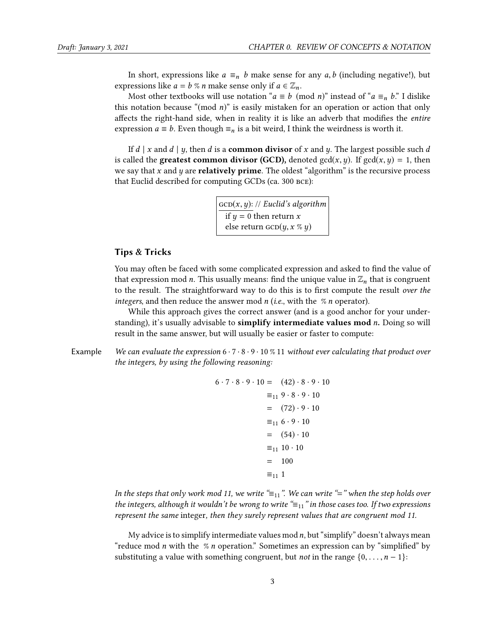In short, expressions like  $a \equiv_n b$  make sense for any a,b (including negative!), but expressions like  $a = b \%$  n make sense only if  $a \in \mathbb{Z}_n$ .

Most other textbooks will use notation " $a \equiv b \pmod{n}$ " instead of " $a \equiv_n b$ ." I dislike this notation because "(mod  $n$ )" is easily mistaken for an operation or action that only affects the right-hand side, when in reality it is like an adverb that modifies the entire expression  $a \equiv b$ . Even though  $\equiv_n$  is a bit weird, I think the weirdness is worth it.

If d | x and d | y, then d is a **common divisor** of x and y. The largest possible such d is called the **greatest common divisor (GCD)**, denoted gcd(x, y). If  $gcd(x, y) = 1$ , then we say that  $x$  and  $y$  are **relatively prime**. The oldest "algorithm" is the recursive process that Euclid described for computing GCDs (ca. 300 bce):

> $GCD(x, y)$ : // Euclid's algorithm if  $y = 0$  then return x<br>else return  $GCD(u, x)$ else return  $\text{GCD}(y, x \n% y)$

#### Tips & Tricks

You may often be faced with some complicated expression and asked to find the value of that expression mod *n*. This usually means: find the unique value in  $\mathbb{Z}_n$  that is congruent to the result. The straightforward way to do this is to first compute the result over the integers, and then reduce the answer mod  $n$  (i.e., with the %  $n$  operator).

While this approach gives the correct answer (and is a good anchor for your understanding), it's usually advisable to simplify intermediate values mod  $n$ . Doing so will result in the same answer, but will usually be easier or faster to compute:

Example We can evaluate the expression  $6 \cdot 7 \cdot 8 \cdot 9 \cdot 10 \cdot 71$  without ever calculating that product over the integers, by using the following reasoning:

$$
6 \cdot 7 \cdot 8 \cdot 9 \cdot 10 = (42) \cdot 8 \cdot 9 \cdot 10
$$
  
\n
$$
\equiv_{11} 9 \cdot 8 \cdot 9 \cdot 10
$$
  
\n
$$
= (72) \cdot 9 \cdot 10
$$
  
\n
$$
\equiv_{11} 6 \cdot 9 \cdot 10
$$
  
\n
$$
= (54) \cdot 10
$$
  
\n
$$
\equiv_{11} 10 \cdot 10
$$
  
\n
$$
= 100
$$
  
\n
$$
\equiv_{11} 1
$$

In the steps that only work mod 11, we write " $\equiv_{11}$ ". We can write "=" when the step holds over the integers, although it wouldn't be wrong to write  $\equiv_{11}$ " in those cases too. If two expressions represent the same integer, then they surely represent values that are congruent mod 11.

My advice is to simplify intermediate values mod  $n$ , but "simplify" doesn't always mean "reduce mod *n* with the  $\%$  *n* operation." Sometimes an expression can by "simplified" by substituting a value with something congruent, but *not* in the range  $\{0, \ldots, n-1\}$ :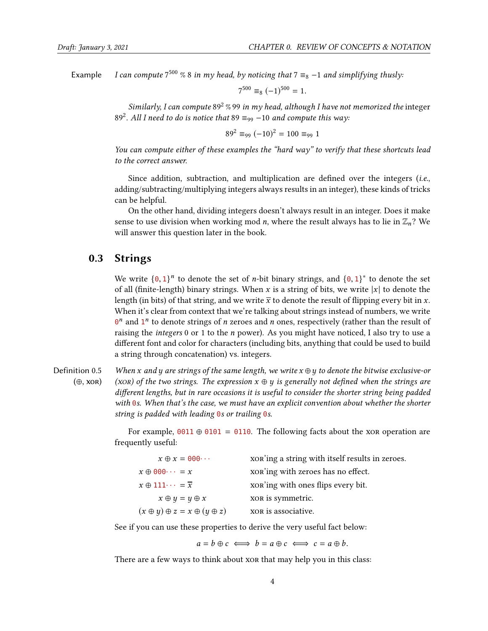Example I can compute  $7^{500}$  % 8 in my head, by noticing that  $7 \equiv_8 -1$  and simplifying thusly:

$$
7^{500} \equiv_8 (-1)^{500} = 1.
$$

Similarly, I can compute  $89^2$  % 99 in my head, although I have not memorized the integer 89<sup>2</sup>. All I need to do is notice that 89  $\equiv_{99} -10$  and compute this way:

$$
89^2 \equiv_{99} (-10)^2 = 100 \equiv_{99} 1
$$

You can compute either of these examples the "hard way" to verify that these shortcuts lead to the correct answer.

Since addition, subtraction, and multiplication are defined over the integers  $(i.e.,$ adding/subtracting/multiplying integers always results in an integer), these kinds of tricks can be helpful.

On the other hand, dividing integers doesn't always result in an integer. Does it make sense to use division when working mod *n*, where the result always has to lie in  $\mathbb{Z}_n$ ? We will answer this question later in the book.

## 0.3 Strings

We write  $\{0, 1\}^n$  to denote the set of *n*-bit binary strings, and  $\{0, 1\}^*$  to denote the set of all (finite-length) binary strings. When x is a string of bits, we write |x| to denote the of all (finite-length) binary strings. When x is a string of bits, we write  $|x|$  to denote the length (in bits) of that string, and we write  $\bar{x}$  to denote the result of flipping every bit in x. When it's clear from context that we're talking about strings instead of numbers, we write  $\theta^n$  and  $1^n$  to denote strings of *n* zeroes and *n* ones, respectively (rather than the result of regions the *integer* 0 or 1 to the *n* power). As you might have noticed I also try to use a raising the integers  $0$  or 1 to the  $n$  power). As you might have noticed, I also try to use a different font and color for characters (including bits, anything that could be used to build a string through concatenation) vs. integers.

Definition 0.5  $(\oplus, \text{xon})$ When x and y are strings of the same length, we write  $x \oplus y$  to denote the bitwise exclusive-or (XOR) of the two strings. The expression  $x \oplus y$  is generally not defined when the strings are different lengths, but in rare occasions it is useful to consider the shorter string being padded with 0s. When that's the case, we must have an explicit convention about whether the shorter string is padded with leading  $\theta$ s or trailing  $\theta$ s.

> For example,  $0011 \oplus 0101 = 0110$ . The following facts about the xor operation are frequently useful:

| $x \oplus x = 000 \cdots$                       | xon'ing a string with itself results in zeroes. |
|-------------------------------------------------|-------------------------------------------------|
| $x \oplus 000 \cdots = x$                       | xor'ing with zeroes has no effect.              |
| $x \oplus 111 \cdots = \overline{x}$            | xon'ing with ones flips every bit.              |
| $x \oplus y = y \oplus x$                       | XOR is symmetric.                               |
| $(x \oplus y) \oplus z = x \oplus (y \oplus z)$ | XOR is associative.                             |
|                                                 |                                                 |

See if you can use these properties to derive the very useful fact below:

 $a = b \oplus c \iff b = a \oplus c \iff c = a \oplus b.$ 

There are a few ways to think about xor that may help you in this class: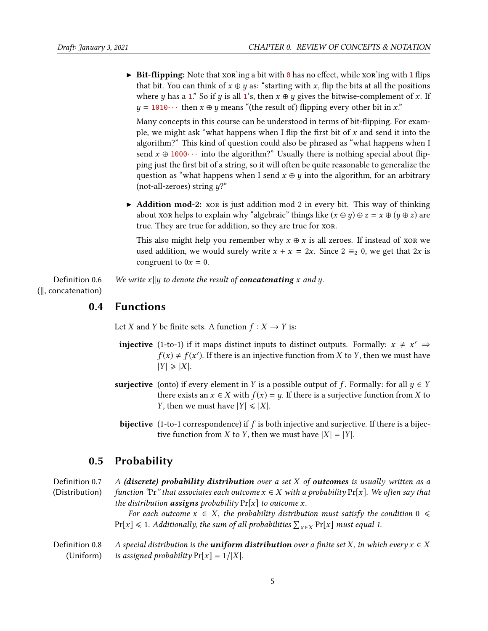$\triangleright$  Bit-flipping: Note that xor'ing a bit with 0 has no effect, while xor'ing with 1 flips that bit. You can think of  $x \oplus y$  as: "starting with x, flip the bits at all the positions where y has a 1." So if y is all 1's, then  $x \oplus y$  gives the bitwise-complement of x. If  $y = 1010 \cdots$  then  $x \oplus y$  means "(the result of) flipping every other bit in x."

Many concepts in this course can be understood in terms of bit-flipping. For example, we might ask "what happens when I flip the first bit of  $x$  and send it into the algorithm?" This kind of question could also be phrased as "what happens when I send  $x \oplus 1000 \cdots$  into the algorithm?" Usually there is nothing special about flipping just the first bit of a string, so it will often be quite reasonable to generalize the question as "what happens when I send  $x \oplus y$  into the algorithm, for an arbitrary (not-all-zeroes) string  $y$ ?"

 $\blacktriangleright$  **Addition mod-2:** xore is just addition mod 2 in every bit. This way of thinking about xor helps to explain why "algebraic" things like  $(x \oplus y) \oplus z = x \oplus (y \oplus z)$  are true. They are true for addition, so they are true for xor.

This also might help you remember why  $x \oplus x$  is all zeroes. If instead of xor we used addition, we would surely write  $x + x = 2x$ . Since  $2 \equiv_2 0$ , we get that  $2x$  is congruent to  $0x = 0$ .

Definition 0.6  $(||,$  concatenation $)$ We write  $x||y$  to denote the result of **concatenating** x and y.

## 0.4 Functions

Let X and Y be finite sets. A function  $f : X \to Y$  is:

- **injective** (1-to-1) if it maps distinct inputs to distinct outputs. Formally:  $x \neq x' \Rightarrow f(x) + f(x')$  If there is an injective function from *X* to *Y* then we must have  $f(x) \neq f(x')$ . If there is an injective function from X to Y, then we must have  $|Y| \geq |X|$ .
- **surjective** (onto) if every element in Y is a possible output of f. Formally: for all  $y \in Y$ there exists an  $x \in X$  with  $f(x) = y$ . If there is a surjective function from X to *Y*, then we must have  $|Y| \le |X|$ .
- **bijective** (1-to-1 correspondence) if  $f$  is both injective and surjective. If there is a bijective function from *X* to *Y*, then we must have  $|X| = |Y|$ .

## 0.5 Probability

Definition 0.7 (Distribution) A (discrete) probability distribution over a set  $X$  of outcomes is usually written as a function "Pr" that associates each outcome  $x \in X$  with a probability Pr[x]. We often say that the distribution **assigns** probability  $Pr[x]$  to outcome x. For each outcome  $x \in X$ , the probability distribution must satisfy the condition  $0 \leq \theta$  $Pr[x] \leq 1$ . Additionally, the sum of all probabilities  $\sum_{x \in X} Pr[x]$  must equal 1. Definition 0.8 (Uniform) A special distribution is the **uniform distribution** over a finite set X, in which every  $x \in X$ is assigned probability  $Pr[x] = 1/|X|$ .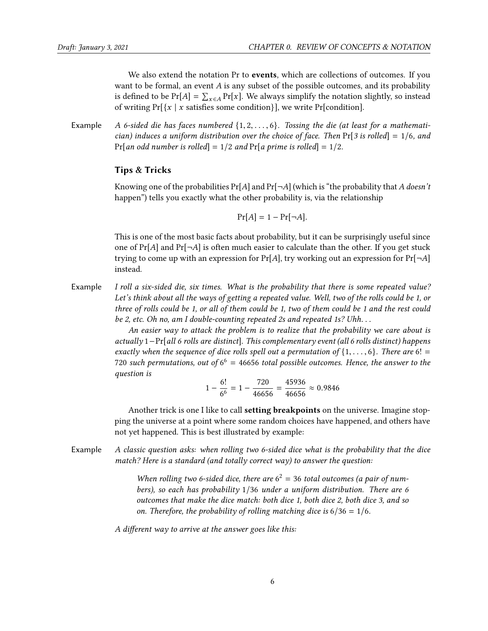We also extend the notation Pr to **events**, which are collections of outcomes. If you want to be formal, an event A is any subset of the possible outcomes, and its probability is defined to be  $Pr[A] = \sum_{x \in A} Pr[x]$ . We always simplify the notation slightly, so instead<br>of writing  $Pr[x \mid x]$  is sotisfies some conditional, we write  $Pr[conditional]$ of writing  $Pr[\{x \mid x \text{ satisfies some condition}\}]$ , we write  $Pr[$  condition].

Example A 6-sided die has faces numbered  $\{1, 2, \ldots, 6\}$ . Tossing the die (at least for a mathematician) induces a uniform distribution over the choice of face. Then  $Pr[3 \text{ is rolled}] = 1/6$ , and Pr[an odd number is rolled] =  $1/2$  and Pr[a prime is rolled] =  $1/2$ .

#### Tips & Tricks

Knowing one of the probabilities  $Pr[A]$  and  $Pr[\neg A]$  (which is "the probability that A doesn't happen") tells you exactly what the other probability is, via the relationship

$$
\Pr[A] = 1 - \Pr[\neg A].
$$

This is one of the most basic facts about probability, but it can be surprisingly useful since one of  $Pr[A]$  and  $Pr[\neg A]$  is often much easier to calculate than the other. If you get stuck trying to come up with an expression for  $Pr[A]$ , try working out an expression for  $Pr[\neg A]$ instead.

Example I roll a six-sided die, six times. What is the probability that there is some repeated value? Let's think about all the ways of getting a repeated value. Well, two of the rolls could be 1, or three of rolls could be 1, or all of them could be 1, two of them could be 1 and the rest could be 2, etc. Oh no, am I double-counting repeated 2s and repeated 1s? Uhh. . .

> An easier way to attack the problem is to realize that the probability we care about is actually 1−Pr[all 6 rolls are distinct]. This complementary event (all 6 rolls distinct) happens exactly when the sequence of dice rolls spell out a permutation of  $\{1, \ldots, 6\}$ . There are 6! = 720 such permutations, out of  $6^6 = 46656$  total possible outcomes. Hence, the answer to the question is

$$
1 - \frac{6!}{6^6} = 1 - \frac{720}{46656} = \frac{45936}{46656} \approx 0.9846
$$

Another trick is one I like to call **setting breakpoints** on the universe. Imagine stopping the universe at a point where some random choices have happened, and others have not yet happened. This is best illustrated by example:

Example A classic question asks: when rolling two 6-sided dice what is the probability that the dice match? Here is a standard (and totally correct way) to answer the question:

> When rolling two 6-sided dice, there are  $6^2 = 36$  total outcomes (a pair of numbers), so each has probability 1/36 under a uniform distribution. There are 6 outcomes that make the dice match: both dice 1, both dice 2, both dice 3, and so on. Therefore, the probability of rolling matching dice is  $6/36 = 1/6$ .

A different way to arrive at the answer goes like this: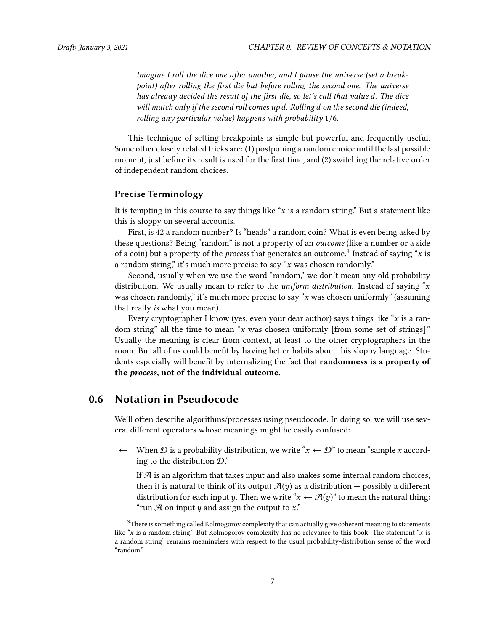Imagine I roll the dice one after another, and I pause the universe (set a breakpoint) after rolling the first die but before rolling the second one. The universe has already decided the result of the first die, so let's call that value d. The dice will match only if the second roll comes up d. Rolling d on the second die (indeed, rolling any particular value) happens with probability 1/6.

This technique of setting breakpoints is simple but powerful and frequently useful. Some other closely related tricks are: (1) postponing a random choice until the last possible moment, just before its result is used for the first time, and  $(2)$  switching the relative order of independent random choices.

#### Precise Terminology

It is tempting in this course to say things like "x is a random string." But a statement like this is sloppy on several accounts.

First, is 42 a random number? Is "heads" a random coin? What is even being asked by these questions? Being "random" is not a property of an outcome (like a number or a side of a coin) but a property of the *process* that generates an outcome.<sup>[3](#page-6-0)</sup> Instead of saying "x is<br>a random string" it's much more precise to say "x was chosen randomly" a random string," it's much more precise to say "x was chosen randomly."

Second, usually when we use the word "random," we don't mean any old probability distribution. We usually mean to refer to the *uniform distribution*. Instead of saying " $x$ was chosen randomly," it's much more precise to say " $x$  was chosen uniformly" (assuming that really is what you mean).

Every cryptographer I know (yes, even your dear author) says things like "x is a random string" all the time to mean "x was chosen uniformly [from some set of strings]." Usually the meaning is clear from context, at least to the other cryptographers in the room. But all of us could benefit by having better habits about this sloppy language. Students especially will benefit by internalizing the fact that **randomness is a property of** the process, not of the individual outcome.

## 0.6 Notation in Pseudocode

We'll often describe algorithms/processes using pseudocode. In doing so, we will use several different operators whose meanings might be easily confused:

← When  $\mathcal D$  is a probability distribution, we write " $x \leftarrow \mathcal D$ " to mean "sample x according to the distribution  $\mathcal{D}$ ."

If  $\mathcal A$  is an algorithm that takes input and also makes some internal random choices, then it is natural to think of its output  $\mathcal{A}(y)$  as a distribution – possibly a different distribution for each input y. Then we write " $x \leftarrow \mathcal{A}(y)$ " to mean the natural thing: "run  $\mathcal A$  on input  $\psi$  and assign the output to x."

<span id="page-6-0"></span> $3$ There is something called Kolmogorov complexity that can actually give coherent meaning to statements like "x is a random string." But Kolmogorov complexity has no relevance to this book. The statement "x is a random string" remains meaningless with respect to the usual probability-distribution sense of the word "random."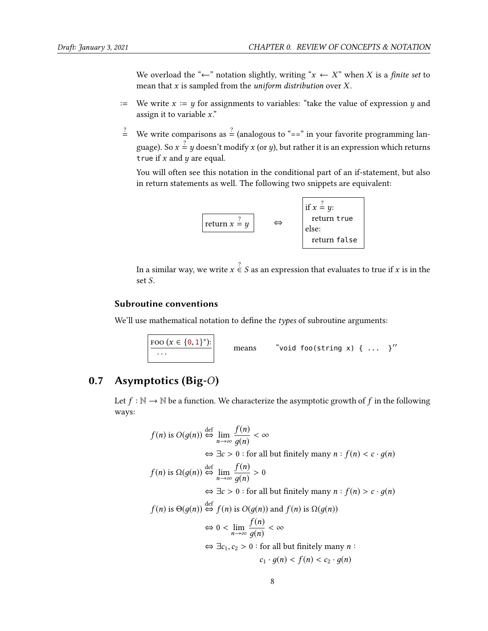We overload the " $\leftarrow$ " notation slightly, writing " $x \leftarrow X$ " when X is a finite set to mean that  $x$  is sampled from the *uniform distribution* over  $X$ .

- := We write  $x := y$  for assignments to variables: "take the value of expression y and assign it to variable  $x$ ."
- $\stackrel{?}{=}$  We write comparisons as  $\stackrel{?}{=}$  (analogous to "==" in your favorite programming language). So  $x = y$  doesn't modify x (or y), but rather it is an expression which returns<br>true if x and u are equal true if  $x$  and  $y$  are equal.

You will often see this notation in the conditional part of an if-statement, but also in return statements as well. The following two snippets are equivalent:



In a similar way, we write  $x \stackrel{?}{\in} S$  as an expression that evaluates to true if x is in the set S set S.

### Subroutine conventions

We'll use mathematical notation to define the  $types$  of subroutine arguments:



# 0.7 Asymptotics (Big-O)

Let  $f : \mathbb{N} \to \mathbb{N}$  be a function. We characterize the asymptotic growth of f in the following ways:

$$
f(n) \text{ is } O(g(n)) \stackrel{\text{def}}{\Leftrightarrow} \lim_{n \to \infty} \frac{f(n)}{g(n)} < \infty
$$
  

$$
\Leftrightarrow \exists c > 0 \text{ : for all but finitely many } n : f(n) < c \cdot g(n)
$$
  

$$
f(n) \text{ is } \Omega(g(n)) \stackrel{\text{def}}{\Leftrightarrow} \lim_{n \to \infty} \frac{f(n)}{g(n)} > 0
$$
  

$$
\Leftrightarrow \exists c > 0 \text{ : for all but finitely many } n : f(n) > c \cdot g(n)
$$
  

$$
f(n) \text{ is } \Theta(g(n)) \stackrel{\text{def}}{\Leftrightarrow} f(n) \text{ is } O(g(n)) \text{ and } f(n) \text{ is } \Omega(g(n))
$$
  

$$
\Leftrightarrow 0 < \lim_{n \to \infty} \frac{f(n)}{g(n)} < \infty
$$
  

$$
\Leftrightarrow \exists c_1, c_2 > 0 \text{ : for all but finitely many } n : c_1 \cdot g(n) < f(n) < c_2 \cdot g(n)
$$